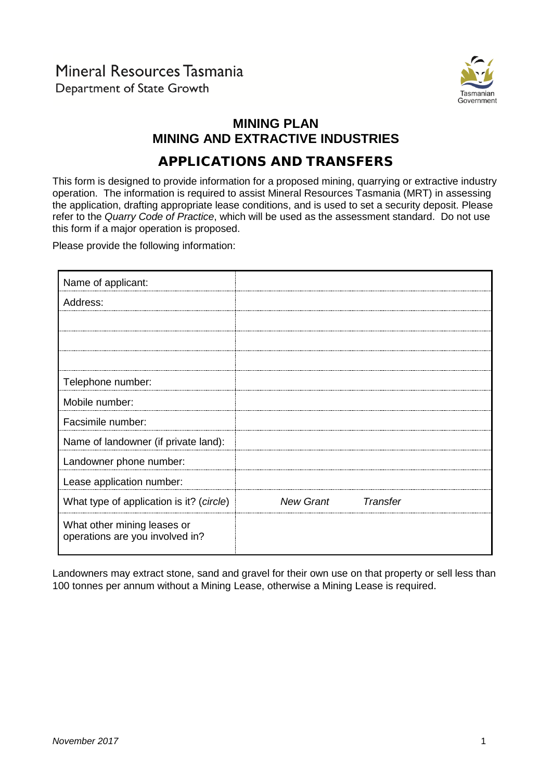# Mineral Resources Tasmania Department of State Growth



# **MINING PLAN MINING AND EXTRACTIVE INDUSTRIES**

# APPLICATIONS AND TRANSFERS

This form is designed to provide information for a proposed mining, quarrying or extractive industry operation. The information is required to assist Mineral Resources Tasmania (MRT) in assessing the application, drafting appropriate lease conditions, and is used to set a security deposit. Please refer to the *Quarry Code of Practice*, which will be used as the assessment standard. Do not use this form if a major operation is proposed.

Please provide the following information:

| Name of applicant:                                             |                                     |
|----------------------------------------------------------------|-------------------------------------|
| Address:                                                       |                                     |
|                                                                |                                     |
|                                                                |                                     |
|                                                                |                                     |
| Telephone number:                                              |                                     |
| Mobile number:                                                 |                                     |
| Facsimile number:                                              |                                     |
| Name of landowner (if private land):                           |                                     |
| Landowner phone number:                                        |                                     |
| Lease application number:                                      |                                     |
| What type of application is it? (circle)                       | <b>New Grant</b><br><b>Transfer</b> |
| What other mining leases or<br>operations are you involved in? |                                     |

Landowners may extract stone, sand and gravel for their own use on that property or sell less than 100 tonnes per annum without a Mining Lease, otherwise a Mining Lease is required.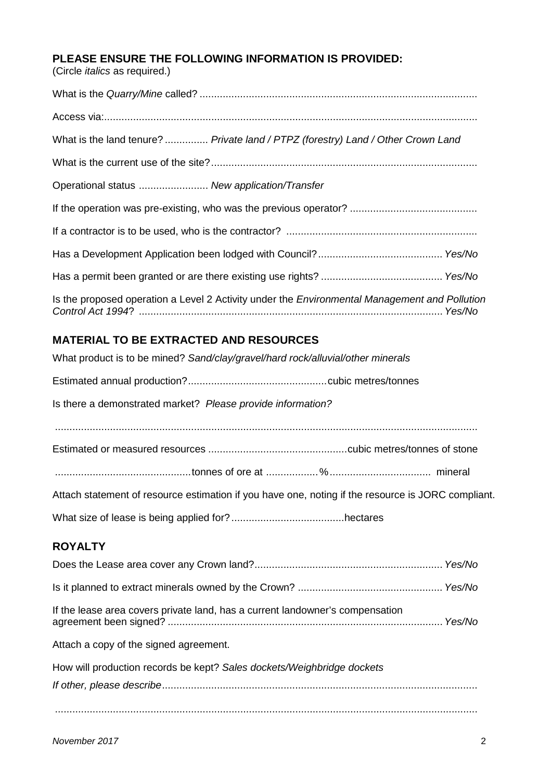# **PLEASE ENSURE THE FOLLOWING INFORMATION IS PROVIDED:**

(Circle *italics* as required.)

| What is the land tenure?  Private land / PTPZ (forestry) Land / Other Crown Land                     |
|------------------------------------------------------------------------------------------------------|
|                                                                                                      |
| Operational status  New application/Transfer                                                         |
|                                                                                                      |
|                                                                                                      |
|                                                                                                      |
|                                                                                                      |
| Is the proposed operation a Level 2 Activity under the <i>Environmental Management and Pollution</i> |

# **MATERIAL TO BE EXTRACTED AND RESOURCES**

| What product is to be mined? Sand/clay/gravel/hard rock/alluvial/other minerals                    |
|----------------------------------------------------------------------------------------------------|
|                                                                                                    |
| Is there a demonstrated market? Please provide information?                                        |
|                                                                                                    |
|                                                                                                    |
|                                                                                                    |
| Attach statement of resource estimation if you have one, noting if the resource is JORC compliant. |
|                                                                                                    |
| <b>ROYALTY</b>                                                                                     |
|                                                                                                    |
|                                                                                                    |
| If the lease area covers private land, has a current landowner's compensation                      |
| Attach a copy of the signed agreement.                                                             |
| How will production records be kept? Sales dockets/Weighbridge dockets                             |
|                                                                                                    |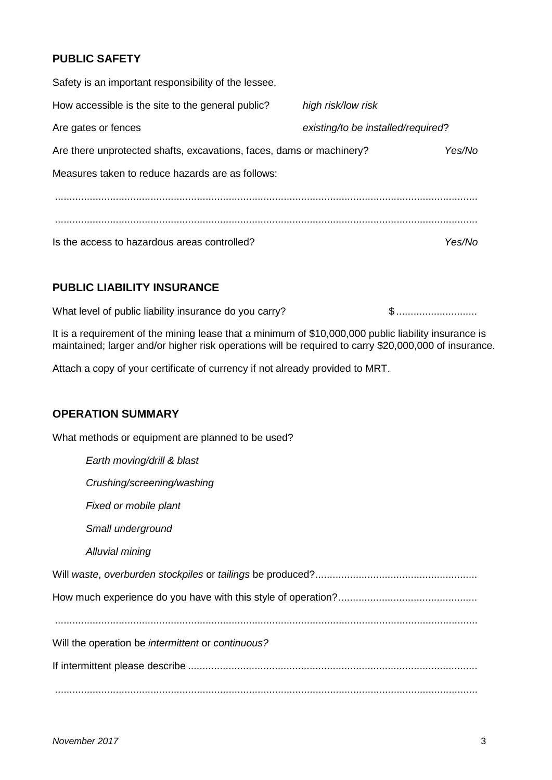## **PUBLIC SAFETY**

| Safety is an important responsibility of the lessee.                 |                                    |        |
|----------------------------------------------------------------------|------------------------------------|--------|
| How accessible is the site to the general public?                    | high risk/low risk                 |        |
| Are gates or fences                                                  | existing/to be installed/required? |        |
| Are there unprotected shafts, excavations, faces, dams or machinery? |                                    | Yes/No |
| Measures taken to reduce hazards are as follows:                     |                                    |        |
|                                                                      |                                    |        |
|                                                                      |                                    |        |
| Is the access to hazardous areas controlled?                         |                                    | Yes/No |

## **PUBLIC LIABILITY INSURANCE**

What level of public liability insurance do you carry? \$ ............................

It is a requirement of the mining lease that a minimum of \$10,000,000 public liability insurance is maintained; larger and/or higher risk operations will be required to carry \$20,000,000 of insurance.

Attach a copy of your certificate of currency if not already provided to MRT.

#### **OPERATION SUMMARY**

What methods or equipment are planned to be used?

| Earth moving/drill & blast                        |
|---------------------------------------------------|
| Crushing/screening/washing                        |
| Fixed or mobile plant                             |
| Small underground                                 |
| Alluvial mining                                   |
|                                                   |
|                                                   |
|                                                   |
| Will the operation be intermittent or continuous? |
|                                                   |
|                                                   |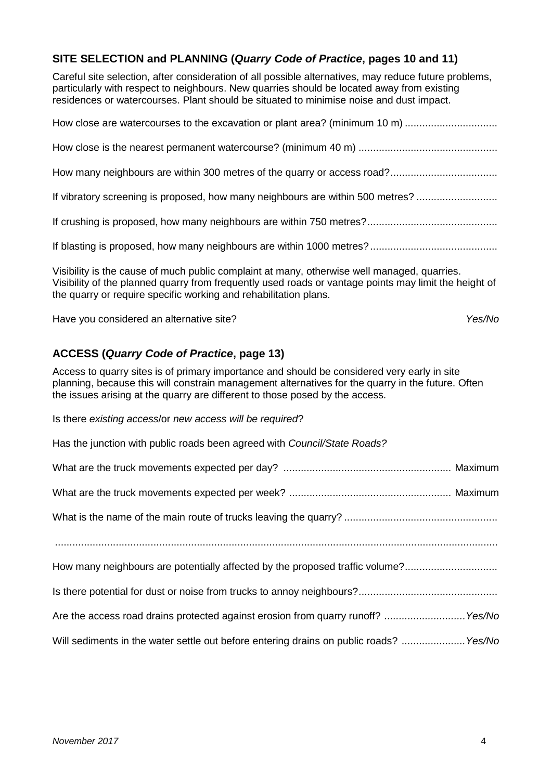#### **SITE SELECTION and PLANNING (***Quarry Code of Practice***, pages 10 and 11)**

Careful site selection, after consideration of all possible alternatives, may reduce future problems, particularly with respect to neighbours. New quarries should be located away from existing residences or watercourses. Plant should be situated to minimise noise and dust impact.

| How close are watercourses to the excavation or plant area? (minimum 10 m)                                                                                                                                                                                               |
|--------------------------------------------------------------------------------------------------------------------------------------------------------------------------------------------------------------------------------------------------------------------------|
|                                                                                                                                                                                                                                                                          |
|                                                                                                                                                                                                                                                                          |
| If vibratory screening is proposed, how many neighbours are within 500 metres?                                                                                                                                                                                           |
|                                                                                                                                                                                                                                                                          |
|                                                                                                                                                                                                                                                                          |
| Visibility is the cause of much public complaint at many, otherwise well managed, quarries.<br>Visibility of the planned quarry from frequently used roads or vantage points may limit the height of<br>the quarry or require specific working and rehabilitation plans. |

Have you considered an alternative site? *Yes/No*

#### **ACCESS (***Quarry Code of Practice***, page 13)**

Access to quarry sites is of primary importance and should be considered very early in site planning, because this will constrain management alternatives for the quarry in the future. Often the issues arising at the quarry are different to those posed by the access.

Is there *existing access*/or *new access will be required*?

| Has the junction with public roads been agreed with Council/State Roads?               |
|----------------------------------------------------------------------------------------|
|                                                                                        |
|                                                                                        |
|                                                                                        |
|                                                                                        |
| How many neighbours are potentially affected by the proposed traffic volume?           |
|                                                                                        |
| Are the access road drains protected against erosion from quarry runoff?  Yes/No       |
| Will sediments in the water settle out before entering drains on public roads?  Yes/No |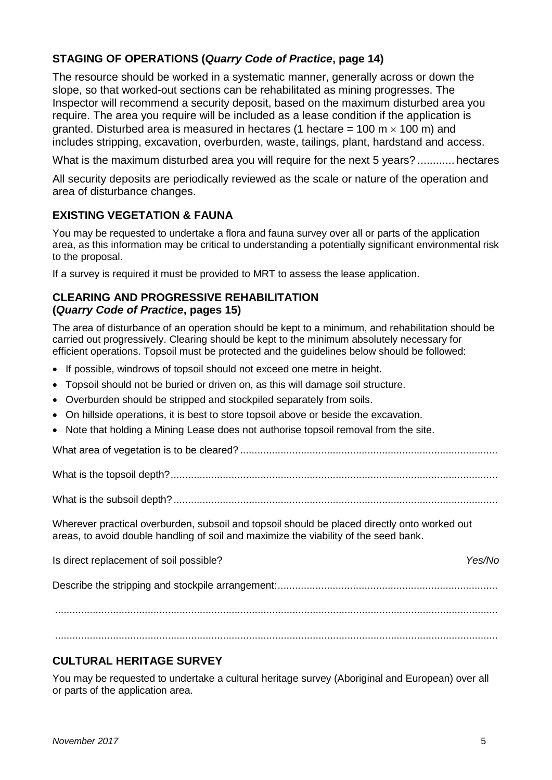## **STAGING OF OPERATIONS (***Quarry Code of Practice***, page 14)**

The resource should be worked in a systematic manner, generally across or down the slope, so that worked-out sections can be rehabilitated as mining progresses. The Inspector will recommend a security deposit, based on the maximum disturbed area you require. The area you require will be included as a lease condition if the application is granted. Disturbed area is measured in hectares (1 hectare = 100 m  $\times$  100 m) and includes stripping, excavation, overburden, waste, tailings, plant, hardstand and access.

What is the maximum disturbed area you will require for the next 5 years? ............ hectares

All security deposits are periodically reviewed as the scale or nature of the operation and area of disturbance changes.

## **EXISTING VEGETATION & FAUNA**

You may be requested to undertake a flora and fauna survey over all or parts of the application area, as this information may be critical to understanding a potentially significant environmental risk to the proposal.

If a survey is required it must be provided to MRT to assess the lease application.

#### **CLEARING AND PROGRESSIVE REHABILITATION (***Quarry Code of Practice***, pages 15)**

The area of disturbance of an operation should be kept to a minimum, and rehabilitation should be carried out progressively. Clearing should be kept to the minimum absolutely necessary for efficient operations. Topsoil must be protected and the guidelines below should be followed:

- If possible, windrows of topsoil should not exceed one metre in height.
- Topsoil should not be buried or driven on, as this will damage soil structure.
- Overburden should be stripped and stockpiled separately from soils.
- On hillside operations, it is best to store topsoil above or beside the excavation.
- Note that holding a Mining Lease does not authorise topsoil removal from the site.

What area of vegetation is to be cleared? .........................................................................................

What is the topsoil depth?.................................................................................................................

What is the subsoil depth? ................................................................................................................

Wherever practical overburden, subsoil and topsoil should be placed directly onto worked out areas, to avoid double handling of soil and maximize the viability of the seed bank.

Is direct replacement of soil possible? *Yes/No* Describe the stripping and stockpile arrangement:............................................................................ .........................................................................................................................................................

.........................................................................................................................................................

## **CULTURAL HERITAGE SURVEY**

You may be requested to undertake a cultural heritage survey (Aboriginal and European) over all or parts of the application area.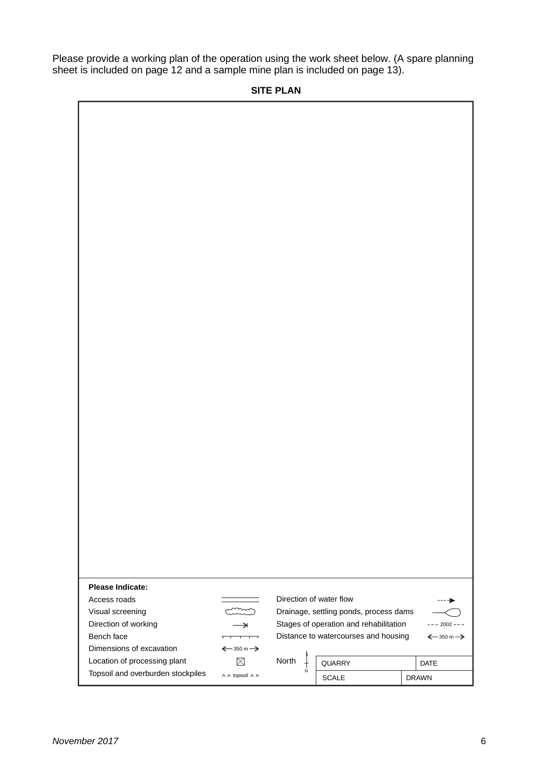Please provide a working plan of the operation using the work sheet below. (A spare planning sheet is included on page 12 and a sample mine plan is included on page 13).

#### **SITE PLAN**

| <b>Please Indicate:</b>           |                                       |                         |                                        |                                       |
|-----------------------------------|---------------------------------------|-------------------------|----------------------------------------|---------------------------------------|
|                                   |                                       |                         |                                        |                                       |
| Access roads                      |                                       | Direction of water flow |                                        |                                       |
| Visual screening                  |                                       |                         | Drainage, settling ponds, process dams |                                       |
| Direction of working              | →                                     |                         | Stages of operation and rehabilitation | $--- 2002 ---$                        |
| Bench face                        | $\overline{1}$ $\overline{1}$<br>┯    |                         | Distance to watercourses and housing   | $\xleftarrow{350}$ m $\xrightarrow{}$ |
| Dimensions of excavation          | $\xleftarrow{350}$ m $\xrightarrow{}$ |                         |                                        |                                       |
| Location of processing plant      | $\boxtimes$                           | North                   | QUARRY                                 | DATE                                  |
| Topsoil and overburden stockpiles | A A topsoil A A                       | N                       |                                        |                                       |
|                                   |                                       |                         | SCALE                                  | <b>DRAWN</b>                          |

٦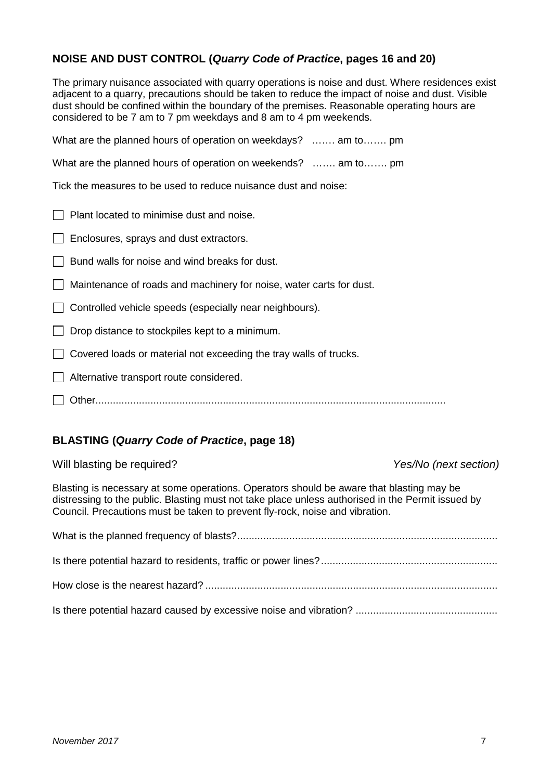## **NOISE AND DUST CONTROL (***Quarry Code of Practice***, pages 16 and 20)**

The primary nuisance associated with quarry operations is noise and dust. Where residences exist adjacent to a quarry, precautions should be taken to reduce the impact of noise and dust. Visible dust should be confined within the boundary of the premises. Reasonable operating hours are considered to be 7 am to 7 pm weekdays and 8 am to 4 pm weekends.

| What are the planned hours of operation on weekdays?  am to pm      |
|---------------------------------------------------------------------|
| What are the planned hours of operation on weekends?  am to pm      |
| Tick the measures to be used to reduce nuisance dust and noise:     |
| Plant located to minimise dust and noise.                           |
| Enclosures, sprays and dust extractors.                             |
| Bund walls for noise and wind breaks for dust.                      |
| Maintenance of roads and machinery for noise, water carts for dust. |
| Controlled vehicle speeds (especially near neighbours).             |
| Drop distance to stockpiles kept to a minimum.                      |
| Covered loads or material not exceeding the tray walls of trucks.   |
| Alternative transport route considered.                             |
|                                                                     |
|                                                                     |

## **BLASTING (***Quarry Code of Practice***, page 18)**

Will blasting be required? *Yes/No (next section)*

Blasting is necessary at some operations. Operators should be aware that blasting may be distressing to the public. Blasting must not take place unless authorised in the Permit issued by Council. Precautions must be taken to prevent fly-rock, noise and vibration.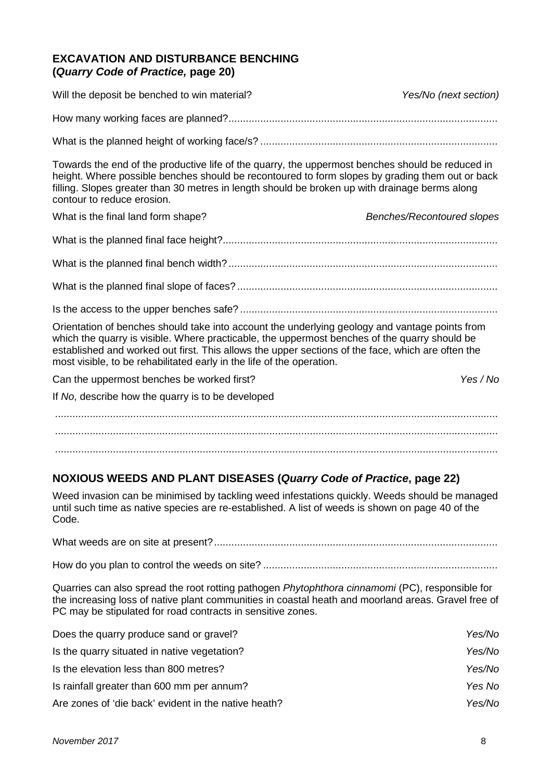#### **EXCAVATION AND DISTURBANCE BENCHING (***Quarry Code of Practice,* **page 20)**

| Will the deposit be benched to win material?                                                                                                                                                                                                                                                                                                                                  | Yes/No (next section)             |
|-------------------------------------------------------------------------------------------------------------------------------------------------------------------------------------------------------------------------------------------------------------------------------------------------------------------------------------------------------------------------------|-----------------------------------|
|                                                                                                                                                                                                                                                                                                                                                                               |                                   |
|                                                                                                                                                                                                                                                                                                                                                                               |                                   |
| Towards the end of the productive life of the quarry, the uppermost benches should be reduced in<br>height. Where possible benches should be recontoured to form slopes by grading them out or back<br>filling. Slopes greater than 30 metres in length should be broken up with drainage berms along<br>contour to reduce erosion.                                           |                                   |
| What is the final land form shape?                                                                                                                                                                                                                                                                                                                                            | <b>Benches/Recontoured slopes</b> |
|                                                                                                                                                                                                                                                                                                                                                                               |                                   |
|                                                                                                                                                                                                                                                                                                                                                                               |                                   |
|                                                                                                                                                                                                                                                                                                                                                                               |                                   |
|                                                                                                                                                                                                                                                                                                                                                                               |                                   |
| Orientation of benches should take into account the underlying geology and vantage points from<br>which the quarry is visible. Where practicable, the uppermost benches of the quarry should be<br>established and worked out first. This allows the upper sections of the face, which are often the<br>most visible, to be rehabilitated early in the life of the operation. |                                   |
| Can the uppermost benches be worked first?                                                                                                                                                                                                                                                                                                                                    | Yes / No                          |
| If No, describe how the quarry is to be developed                                                                                                                                                                                                                                                                                                                             |                                   |
|                                                                                                                                                                                                                                                                                                                                                                               |                                   |
|                                                                                                                                                                                                                                                                                                                                                                               |                                   |
|                                                                                                                                                                                                                                                                                                                                                                               |                                   |

#### **NOXIOUS WEEDS AND PLANT DISEASES (***Quarry Code of Practice***, page 22)**

Weed invasion can be minimised by tackling weed infestations quickly. Weeds should be managed until such time as native species are re-established. A list of weeds is shown on page 40 of the Code.

Quarries can also spread the root rotting pathogen *Phytophthora cinnamomi* (PC), responsible for the increasing loss of native plant communities in coastal heath and moorland areas. Gravel free of PC may be stipulated for road contracts in sensitive zones.

| Does the quarry produce sand or gravel?              | Yes/No |
|------------------------------------------------------|--------|
| Is the quarry situated in native vegetation?         | Yes/No |
| Is the elevation less than 800 metres?               | Yes/No |
| Is rainfall greater than 600 mm per annum?           | Yes No |
| Are zones of 'die back' evident in the native heath? | Yes/No |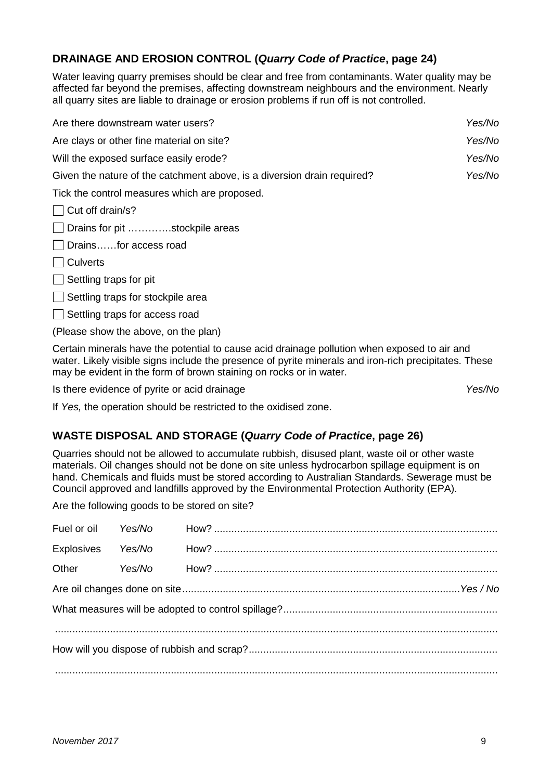#### **DRAINAGE AND EROSION CONTROL (***Quarry Code of Practice***, page 24)**

Water leaving quarry premises should be clear and free from contaminants. Water quality may be affected far beyond the premises, affecting downstream neighbours and the environment. Nearly all quarry sites are liable to drainage or erosion problems if run off is not controlled.

| Are there downstream water users?                                       | Yes/No |
|-------------------------------------------------------------------------|--------|
| Are clays or other fine material on site?                               | Yes/No |
| Will the exposed surface easily erode?                                  | Yes/No |
| Given the nature of the catchment above, is a diversion drain required? | Yes/No |
| Tick the control measures which are proposed.                           |        |
| $\Box$ Cut off drain/s?                                                 |        |
| □ Drains for pit stockpile areas                                        |        |

Drains……for access road

 $\Box$  Culverts

 $\Box$  Settling traps for pit

 $\Box$  Settling traps for stockpile area

 $\Box$  Settling traps for access road

(Please show the above, on the plan)

Certain minerals have the potential to cause acid drainage pollution when exposed to air and water. Likely visible signs include the presence of pyrite minerals and iron-rich precipitates. These may be evident in the form of brown staining on rocks or in water.

Is there evidence of pyrite or acid drainage *Yes/No*

If *Yes,* the operation should be restricted to the oxidised zone.

#### **WASTE DISPOSAL AND STORAGE (***Quarry Code of Practice***, page 26)**

Quarries should not be allowed to accumulate rubbish, disused plant, waste oil or other waste materials. Oil changes should not be done on site unless hydrocarbon spillage equipment is on hand. Chemicals and fluids must be stored according to Australian Standards. Sewerage must be Council approved and landfills approved by the Environmental Protection Authority (EPA).

Are the following goods to be stored on site?

| Fuel or oil Yes/No |        |  |  |  |
|--------------------|--------|--|--|--|
| Explosives         | Yes/No |  |  |  |
|                    |        |  |  |  |
|                    |        |  |  |  |
|                    |        |  |  |  |
|                    |        |  |  |  |
|                    |        |  |  |  |
|                    |        |  |  |  |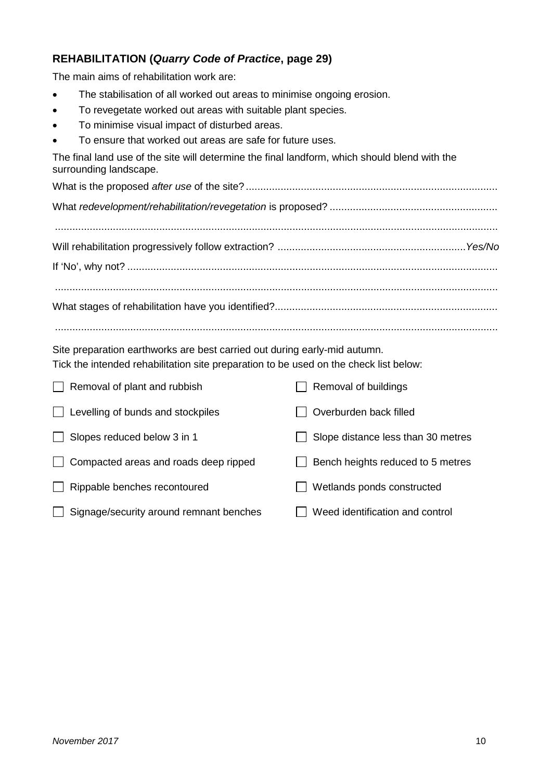# **REHABILITATION (***Quarry Code of Practice***, page 29)**

The main aims of rehabilitation work are:

- The stabilisation of all worked out areas to minimise ongoing erosion.
- To revegetate worked out areas with suitable plant species.
- To minimise visual impact of disturbed areas.
- To ensure that worked out areas are safe for future uses.

The final land use of the site will determine the final landform, which should blend with the surrounding landscape.

| $\begin{smallmatrix}&&&&&&&&&\\ &&&&&&&&&\\ &&&&&&&&&&&\\ &&&&&&&&&&&\\ &&&&&&&&&&&\\ &&&&&&&&&&&\\ &&&&&&&&&&&\\ &&&&&&&&&&&\\ &&&&&&&&&&&\\ &&&&&&&&&&&\\ &&&&&&&&&&&\\ &&&&&&&&&&&\\ &&&&&&&&&&&\\ &&&&&&&&&&&&&\\ &&&&&&&&&&&&&\\ &&&&&&&&&&&&&\\ &&&&&&&&&&&&&\\ &&&&&&&&&&&&&\\ &&&&&&&&&&&&&\\ &&&&&&&&&&&&&&&\\ &&&&&&&&&&&&&&&\\ &&&&&&&&&&&&&&&\\ &&&&&&&&&&&&&&&\\ &&&&&&&&&&&&&&&\\ &&&&&&&&&&&&&&&\\ &&&&&&&&&&&&&&&\\ &&&&&&&&&&&&&&&\\ &&&&&&&&&&$ |  |
|-------------------------------------------------------------------------------------------------------------------------------------------------------------------------------------------------------------------------------------------------------------------------------------------------------------------------------------------------------------------------------------------------------------------------------------------------------------------|--|
|                                                                                                                                                                                                                                                                                                                                                                                                                                                                   |  |
|                                                                                                                                                                                                                                                                                                                                                                                                                                                                   |  |
|                                                                                                                                                                                                                                                                                                                                                                                                                                                                   |  |

Site preparation earthworks are best carried out during early-mid autumn.

| Overburden back filled<br>Levelling of bunds and stockpiles                |  |
|----------------------------------------------------------------------------|--|
| Slopes reduced below 3 in 1<br>Slope distance less than 30 metres          |  |
| Compacted areas and roads deep ripped<br>Bench heights reduced to 5 metres |  |
| Wetlands ponds constructed<br>Rippable benches recontoured                 |  |
| Signage/security around remnant benches<br>Weed identification and control |  |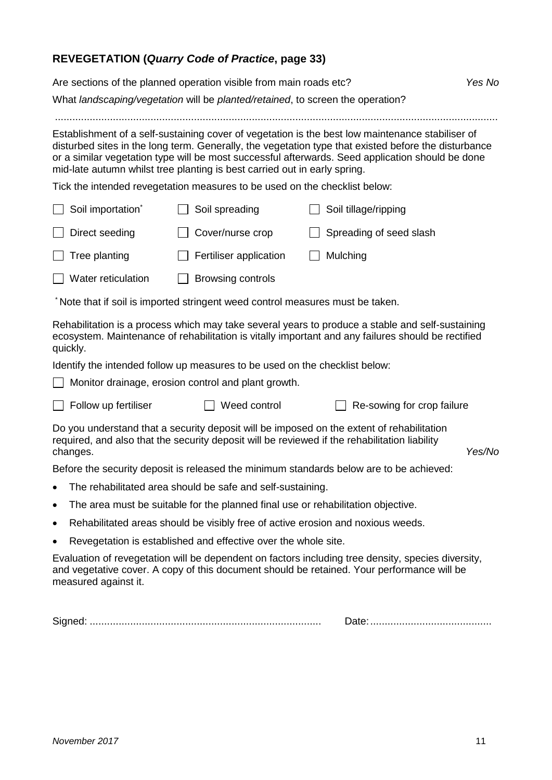# **REVEGETATION (***Quarry Code of Practice***, page 33)**

| Yes No<br>Are sections of the planned operation visible from main roads etc?                                                                                                                                                                                                                                                                                                              |                                                                                  |                                                                                                                                                                                                  |        |
|-------------------------------------------------------------------------------------------------------------------------------------------------------------------------------------------------------------------------------------------------------------------------------------------------------------------------------------------------------------------------------------------|----------------------------------------------------------------------------------|--------------------------------------------------------------------------------------------------------------------------------------------------------------------------------------------------|--------|
| What landscaping/vegetation will be planted/retained, to screen the operation?                                                                                                                                                                                                                                                                                                            |                                                                                  |                                                                                                                                                                                                  |        |
|                                                                                                                                                                                                                                                                                                                                                                                           |                                                                                  |                                                                                                                                                                                                  |        |
| Establishment of a self-sustaining cover of vegetation is the best low maintenance stabiliser of<br>disturbed sites in the long term. Generally, the vegetation type that existed before the disturbance<br>or a similar vegetation type will be most successful afterwards. Seed application should be done<br>mid-late autumn whilst tree planting is best carried out in early spring. |                                                                                  |                                                                                                                                                                                                  |        |
|                                                                                                                                                                                                                                                                                                                                                                                           | Tick the intended revegetation measures to be used on the checklist below:       |                                                                                                                                                                                                  |        |
| Soil importation <sup>*</sup>                                                                                                                                                                                                                                                                                                                                                             | Soil spreading                                                                   | Soil tillage/ripping                                                                                                                                                                             |        |
| Direct seeding                                                                                                                                                                                                                                                                                                                                                                            | Cover/nurse crop                                                                 | Spreading of seed slash                                                                                                                                                                          |        |
| Tree planting                                                                                                                                                                                                                                                                                                                                                                             | Fertiliser application                                                           | Mulching                                                                                                                                                                                         |        |
| Water reticulation                                                                                                                                                                                                                                                                                                                                                                        | <b>Browsing controls</b>                                                         |                                                                                                                                                                                                  |        |
|                                                                                                                                                                                                                                                                                                                                                                                           | Note that if soil is imported stringent weed control measures must be taken.     |                                                                                                                                                                                                  |        |
| Rehabilitation is a process which may take several years to produce a stable and self-sustaining<br>ecosystem. Maintenance of rehabilitation is vitally important and any failures should be rectified<br>quickly.                                                                                                                                                                        |                                                                                  |                                                                                                                                                                                                  |        |
|                                                                                                                                                                                                                                                                                                                                                                                           | Identify the intended follow up measures to be used on the checklist below:      |                                                                                                                                                                                                  |        |
|                                                                                                                                                                                                                                                                                                                                                                                           | Monitor drainage, erosion control and plant growth.                              |                                                                                                                                                                                                  |        |
| Follow up fertiliser                                                                                                                                                                                                                                                                                                                                                                      | Weed control                                                                     | Re-sowing for crop failure                                                                                                                                                                       |        |
| changes.                                                                                                                                                                                                                                                                                                                                                                                  |                                                                                  | Do you understand that a security deposit will be imposed on the extent of rehabilitation<br>required, and also that the security deposit will be reviewed if the rehabilitation liability       | Yes/No |
|                                                                                                                                                                                                                                                                                                                                                                                           |                                                                                  | Before the security deposit is released the minimum standards below are to be achieved:                                                                                                          |        |
|                                                                                                                                                                                                                                                                                                                                                                                           | The rehabilitated area should be safe and self-sustaining.                       |                                                                                                                                                                                                  |        |
| $\bullet$                                                                                                                                                                                                                                                                                                                                                                                 | The area must be suitable for the planned final use or rehabilitation objective. |                                                                                                                                                                                                  |        |
| ٠                                                                                                                                                                                                                                                                                                                                                                                         | Rehabilitated areas should be visibly free of active erosion and noxious weeds.  |                                                                                                                                                                                                  |        |
| $\bullet$                                                                                                                                                                                                                                                                                                                                                                                 | Revegetation is established and effective over the whole site.                   |                                                                                                                                                                                                  |        |
| measured against it.                                                                                                                                                                                                                                                                                                                                                                      |                                                                                  | Evaluation of revegetation will be dependent on factors including tree density, species diversity,<br>and vegetative cover. A copy of this document should be retained. Your performance will be |        |
|                                                                                                                                                                                                                                                                                                                                                                                           |                                                                                  |                                                                                                                                                                                                  |        |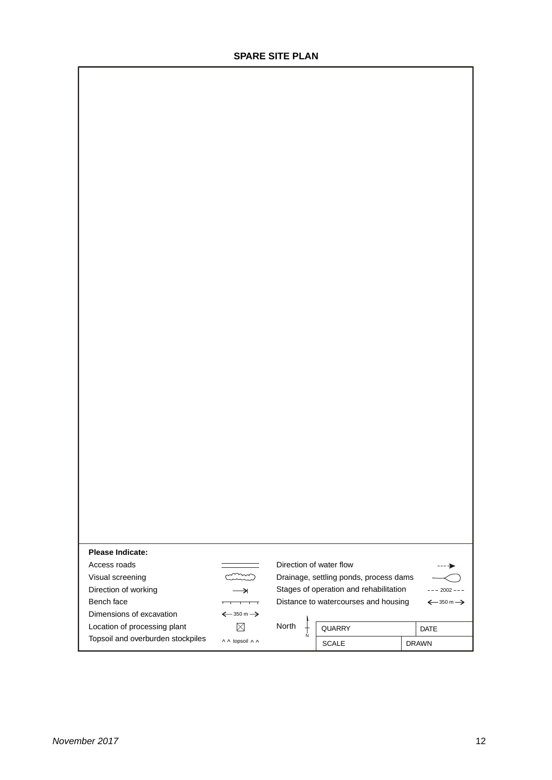| Please Indicate:                  |                                       |                         |                                        |                      |
|-----------------------------------|---------------------------------------|-------------------------|----------------------------------------|----------------------|
| Access roads                      |                                       | Direction of water flow |                                        | ----≽                |
| Visual screening                  |                                       |                         | Drainage, settling ponds, process dams |                      |
| Direction of working              | $\rightarrow$                         |                         | Stages of operation and rehabilitation | $--- 2002 ---$       |
| Bench face                        | $\overline{\phantom{a}}$<br>┯         |                         | Distance to watercourses and housing   | $\xleftarrow{350 m}$ |
| Dimensions of excavation          | $\xleftarrow{350}$ m $\xrightarrow{}$ |                         |                                        |                      |
| Location of processing plant      | $\boxtimes$                           | North<br>$\frac{1}{N}$  | QUARRY                                 | DATE                 |
| Topsoil and overburden stockpiles | A A topsoil A A                       |                         | SCALE                                  | <b>DRAWN</b>         |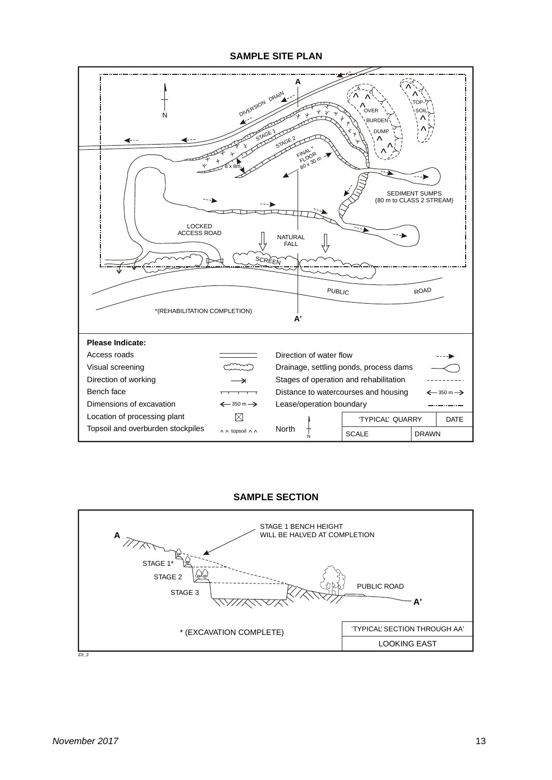**SAMPLE SITE PLAN**



#### **SAMPLE SECTION**